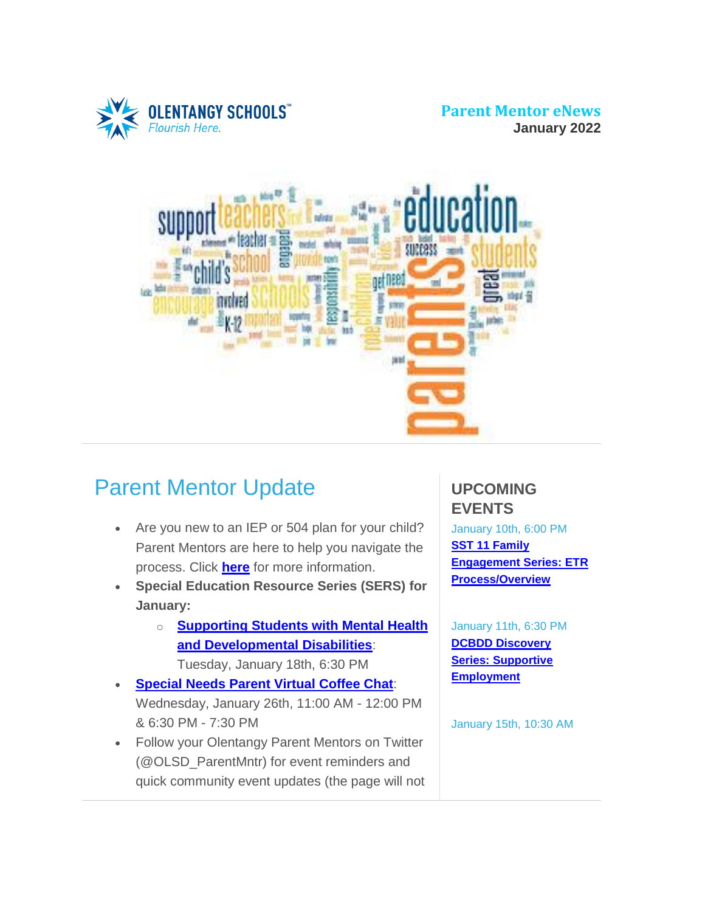**ENTANGY SCHOOLS** Flourish Hel

**Parent Mentor eNews January 2022**



# Parent Mentor Update

- Are you new to an IEP or 504 plan for your child? Parent Mentors are here to help you navigate the process. Click **[here](https://www.olentangy.k12.oh.us/departments/pupil-services/parent-mentor-program)** for more information.
- **Special Education Resource Series (SERS) for January:**
	- o **[Supporting](https://target.brightarrow.com/userfiles/3594-1/files/Invitation%20Flyer(1).pdf) Students with Mental Health and [Developmental](https://target.brightarrow.com/userfiles/3594-1/files/Invitation%20Flyer(1).pdf) Disabilities**: Tuesday, January 18th, 6:30 PM
- **[Special](https://target.brightarrow.com/userfiles/3594-1/files/Virtual%20Coffee%20Chat%20Invite%20January%202022.pdf) Needs Parent Virtual Coffee Chat**: Wednesday, January 26th, 11:00 AM - 12:00 PM & 6:30 PM - 7:30 PM
- Follow your Olentangy Parent Mentors on Twitter (@OLSD\_ParentMntr) for event reminders and quick community event updates (the page will not

### **UPCOMING EVENTS**

January 10th, 6:00 PM **SST 11 [Family](https://target.brightarrow.com/userfiles/3594-1/files/FamilyParent%20Engagement%20Series%2021-22.pdf) [Engagement](https://target.brightarrow.com/userfiles/3594-1/files/FamilyParent%20Engagement%20Series%2021-22.pdf) Series: ETR [Process/Overview](https://target.brightarrow.com/userfiles/3594-1/files/FamilyParent%20Engagement%20Series%2021-22.pdf)**

January 11th, 6:30 PM **DCBDD [Discovery](https://target.brightarrow.com/userfiles/3594-1/files/DCBDD%20January%202022.pdf) Series: [Supportive](https://target.brightarrow.com/userfiles/3594-1/files/DCBDD%20January%202022.pdf) [Employment](https://target.brightarrow.com/userfiles/3594-1/files/DCBDD%20January%202022.pdf)**

January 15th, 10:30 AM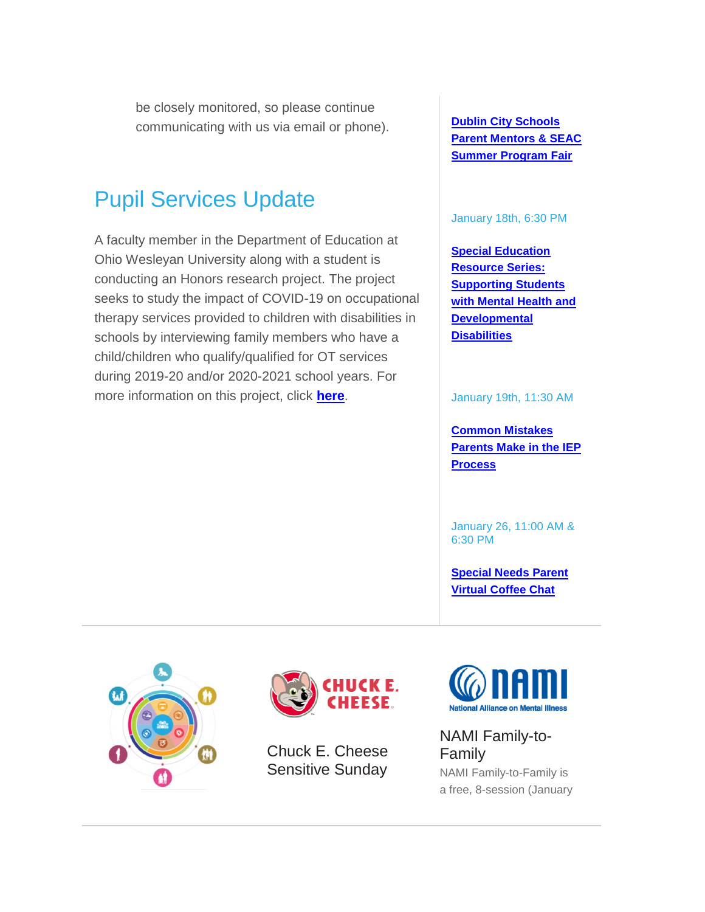be closely monitored, so please continue communicating with us via email or phone).

## Pupil Services Update

A faculty member in the Department of Education at Ohio Wesleyan University along with a student is conducting an Honors research project. The project seeks to study the impact of COVID-19 on occupational therapy services provided to children with disabilities in schools by interviewing family members who have a child/children who qualify/qualified for OT services during 2019-20 and/or 2020-2021 school years. For more information on this project, click **[here](https://target.brightarrow.com/userfiles/3594-1/files/OWU%20Honors%20Research%20Project%20OT%20Study.pdf)**.

**Dublin City [Schools](https://target.brightarrow.com/userfiles/3594-1/files/SEAC%20Sum%20Prog%20Fair%20Save%20the%20Date%20Flyer%202022FINAL.pdf) Parent [Mentors](https://target.brightarrow.com/userfiles/3594-1/files/SEAC%20Sum%20Prog%20Fair%20Save%20the%20Date%20Flyer%202022FINAL.pdf) & SEAC Summer [Program](https://target.brightarrow.com/userfiles/3594-1/files/SEAC%20Sum%20Prog%20Fair%20Save%20the%20Date%20Flyer%202022FINAL.pdf) Fair**

#### January 18th, 6:30 PM

**Special [Education](https://target.brightarrow.com/userfiles/3594-1/files/Invitation%20Flyer(1).pdf) [Resource](https://target.brightarrow.com/userfiles/3594-1/files/Invitation%20Flyer(1).pdf) Series: [Supporting](https://target.brightarrow.com/userfiles/3594-1/files/Invitation%20Flyer(1).pdf) Students with [Mental](https://target.brightarrow.com/userfiles/3594-1/files/Invitation%20Flyer(1).pdf) Health and [Developmental](https://target.brightarrow.com/userfiles/3594-1/files/Invitation%20Flyer(1).pdf) [Disabilities](https://target.brightarrow.com/userfiles/3594-1/files/Invitation%20Flyer(1).pdf)**

January 19th, 11:30 AM

**[Common](https://target.brightarrow.com/userfiles/3594-1/files/January%2019%2c%2c%202022%20flyer%20(8_5%20x%2011%20in).pdf) Mistakes [Parents](https://target.brightarrow.com/userfiles/3594-1/files/January%2019%2c%2c%202022%20flyer%20(8_5%20x%2011%20in).pdf) Make in the IEP [Process](https://target.brightarrow.com/userfiles/3594-1/files/January%2019%2c%2c%202022%20flyer%20(8_5%20x%2011%20in).pdf)**

January 26, 11:00 AM & 6:30 PM

**[Special](https://target.brightarrow.com/userfiles/3594-1/files/Virtual%20Coffee%20Chat%20Invite%20January%202022.pdf) Needs Parent Virtual [Coffee](https://target.brightarrow.com/userfiles/3594-1/files/Virtual%20Coffee%20Chat%20Invite%20January%202022.pdf) Chat**





Chuck E. Cheese Sensitive Sunday



#### NAMI Family-to-Family

NAMI Family-to-Family is a free, 8-session (January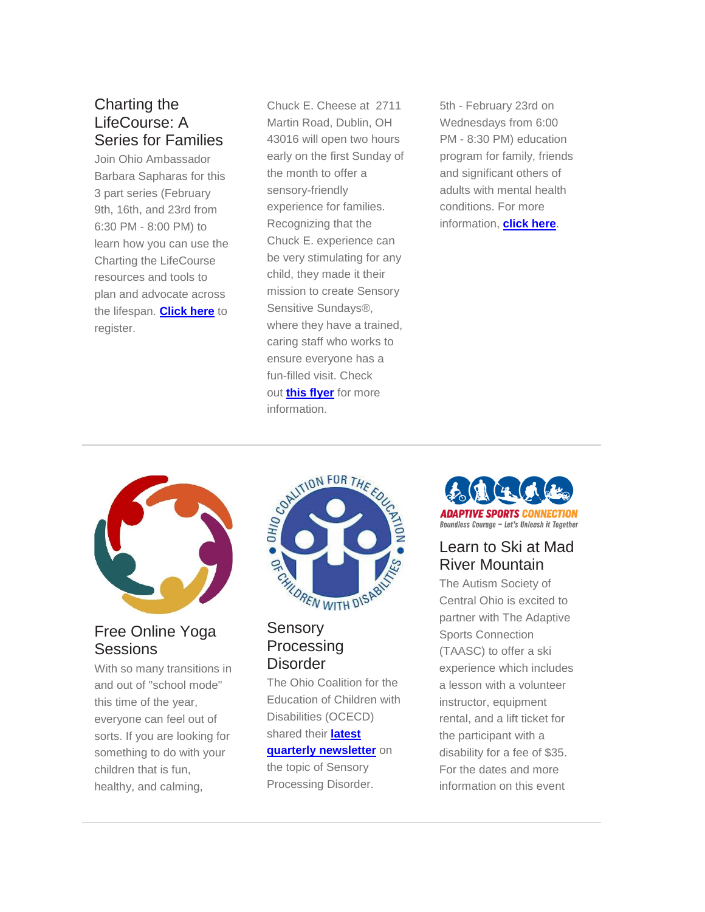#### Charting the LifeCourse: A Series for Families

Join Ohio Ambassador Barbara Sapharas for this 3 part series (February 9th, 16th, and 23rd from 6:30 PM - 8:00 PM) to learn how you can use the Charting the LifeCourse resources and tools to plan and advocate across the lifespan. **[Click](https://r20.rs6.net/tn.jsp?f=0017TGFa38_-tXxY83-nHpTYOflof1icINmam5UWhqA5Qy96KMkRWI6QKSxpN7HuuvcnaPh9qBmMFOUr0VWP4R6-XhrNn-ZfewMpvoasiskxcHLse1uBsHy5uWrVEfWsaof8lVKSyFsKwcYqQyK1q7aue-9V6sJBSulrU6ZkvptIovDWaV4PiRbqmj1c7M6-rhHGtV22XGUm6YJakhKik-ZtA==&c=-DCzLzYTLBs6hlFLKZjzAFXy9JeTVsPTFAvQO9qZ13Yo7vz97T1a8Q==&ch=--eq4m86JAmkECJoLaMSVrUvP6y2oJyX-biOkB-1nC9S8Efa_A_ddw==) here** to register.

Chuck E. Cheese at 2711 Martin Road, Dublin, OH 43016 will open two hours early on the first Sunday of the month to offer a sensory-friendly experience for families. Recognizing that the Chuck E. experience can be very stimulating for any child, they made it their mission to create Sensory Sensitive Sundays®, where they have a trained, caring staff who works to ensure everyone has a fun-filled visit. Check out **this [flyer](https://target.brightarrow.com/userfiles/3594-1/files/ChuckECheeseSensitiveSundayFlier.pdf)** for more information.

5th - February 23rd on Wednesdays from 6:00 PM - 8:30 PM) education program for family, friends and significant others of adults with mental health conditions. For more information, **[click](https://r20.rs6.net/tn.jsp?f=0017TGFa38_-tXxY83-nHpTYOflof1icINmam5UWhqA5Qy96KMkRWI6QMfy_pAHj0U2Q92Fa1UnKU9kxiJHhV7JW3XmhbEbgYkgXDsdYsIsS5xAzr3sbBk7nKj_Y_GG_n6zrgS4Y6WeOKkFmeynLukTCX7jaFDkhM4Trd6c_nCGCcadCuw37qKVhpTs1Dh-ASHJ74VX3sCZOK4QJ3ndpa-P3Pv5k9eDD36WSRh-Bk3Bxws=&c=-DCzLzYTLBs6hlFLKZjzAFXy9JeTVsPTFAvQO9qZ13Yo7vz97T1a8Q==&ch=--eq4m86JAmkECJoLaMSVrUvP6y2oJyX-biOkB-1nC9S8Efa_A_ddw==) here**.



Free Online Yoga **Sessions** 

With so many transitions in and out of "school mode" this time of the year, everyone can feel out of sorts. If you are looking for something to do with your children that is fun, healthy, and calming,



#### **Sensory Processing Disorder**

The Ohio Coalition for the Education of Children with Disabilities (OCECD) shared their **[latest](https://target.brightarrow.com/userfiles/3594-1/files/OCECD%20Quarterly%20Newsletter%202021.pdf) quarterly [newsletter](https://target.brightarrow.com/userfiles/3594-1/files/OCECD%20Quarterly%20Newsletter%202021.pdf)** on the topic of Sensory

Processing Disorder.



#### Learn to Ski at Mad River Mountain

The Autism Society of Central Ohio is excited to partner with The Adaptive Sports Connection (TAASC) to offer a ski experience which includes a lesson with a volunteer instructor, equipment rental, and a lift ticket for the participant with a disability for a fee of \$35. For the dates and more information on this event